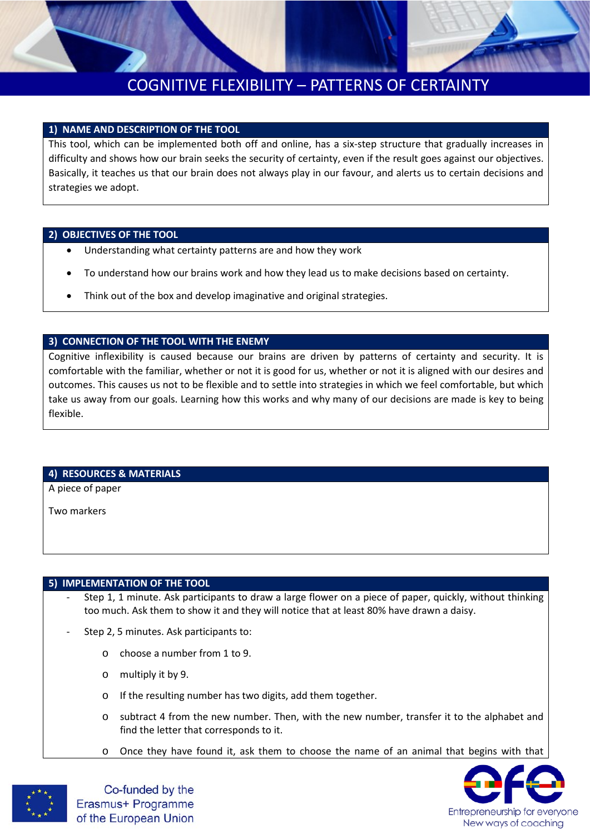

## COGNITIVE FLEXIBILITY – PATTERNS OF CERTAINTY

### **1) NAME AND DESCRIPTION OF THE TOOL**

This tool, which can be implemented both off and online, has a six-step structure that gradually increases in difficulty and shows how our brain seeks the security of certainty, even if the result goes against our objectives. Basically, it teaches us that our brain does not always play in our favour, and alerts us to certain decisions and strategies we adopt.

#### **2) OBJECTIVES OF THE TOOL**

- Understanding what certainty patterns are and how they work
- To understand how our brains work and how they lead us to make decisions based on certainty.
- Think out of the box and develop imaginative and original strategies.

### **3) CONNECTION OF THE TOOL WITH THE ENEMY**

Cognitive inflexibility is caused because our brains are driven by patterns of certainty and security. It is comfortable with the familiar, whether or not it is good for us, whether or not it is aligned with our desires and outcomes. This causes us not to be flexible and to settle into strategies in which we feel comfortable, but which take us away from our goals. Learning how this works and why many of our decisions are made is key to being flexible.

#### **4) RESOURCES & MATERIALS**

A piece of paper

Two markers

#### **5) IMPLEMENTATION OF THE TOOL**

- Step 1, 1 minute. Ask participants to draw a large flower on a piece of paper, quickly, without thinking too much. Ask them to show it and they will notice that at least 80% have drawn a daisy.
- Step 2, 5 minutes. Ask participants to:
	- o choose a number from 1 to 9.
	- o multiply it by 9.
	- o If the resulting number has two digits, add them together.
	- o subtract 4 from the new number. Then, with the new number, transfer it to the alphabet and find the letter that corresponds to it.
	- o Once they have found it, ask them to choose the name of an animal that begins with that





Co-funded by the Erasmus+ Programme of the European Union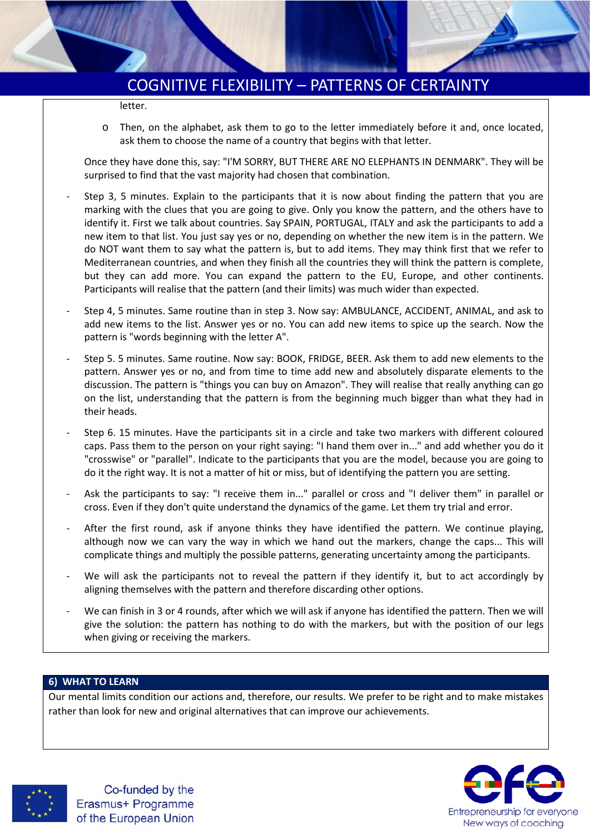

## COGNITIVE FLEXIBILITY – PATTERNS OF CERTAINTY

letter.

Then, on the alphabet, ask them to go to the letter immediately before it and, once located, ask them to choose the name of a country that begins with that letter.

Once they have done this, say: "I'M SORRY, BUT THERE ARE NO ELEPHANTS IN DENMARK". They will be surprised to find that the vast majority had chosen that combination.

- Step 3, 5 minutes. Explain to the participants that it is now about finding the pattern that you are marking with the clues that you are going to give. Only you know the pattern, and the others have to identify it. First we talk about countries. Say SPAIN, PORTUGAL, ITALY and ask the participants to add a new item to that list. You just say yes or no, depending on whether the new item is in the pattern. We do NOT want them to say what the pattern is, but to add items. They may think first that we refer to Mediterranean countries, and when they finish all the countries they will think the pattern is complete, but they can add more. You can expand the pattern to the EU, Europe, and other continents. Participants will realise that the pattern (and their limits) was much wider than expected.
- Step 4, 5 minutes. Same routine than in step 3. Now say: AMBULANCE, ACCIDENT, ANIMAL, and ask to add new items to the list. Answer yes or no. You can add new items to spice up the search. Now the pattern is "words beginning with the letter A".
- Step 5. 5 minutes. Same routine. Now say: BOOK, FRIDGE, BEER. Ask them to add new elements to the pattern. Answer yes or no, and from time to time add new and absolutely disparate elements to the discussion. The pattern is "things you can buy on Amazon". They will realise that really anything can go on the list, understanding that the pattern is from the beginning much bigger than what they had in their heads.
- Step 6. 15 minutes. Have the participants sit in a circle and take two markers with different coloured caps. Pass them to the person on your right saying: "I hand them over in..." and add whether you do it "crosswise" or "parallel". Indicate to the participants that you are the model, because you are going to do it the right way. It is not a matter of hit or miss, but of identifying the pattern you are setting.
- Ask the participants to say: "I receive them in..." parallel or cross and "I deliver them" in parallel or cross. Even if they don't quite understand the dynamics of the game. Let them try trial and error.
- After the first round, ask if anyone thinks they have identified the pattern. We continue playing, although now we can vary the way in which we hand out the markers, change the caps... This will complicate things and multiply the possible patterns, generating uncertainty among the participants.
- We will ask the participants not to reveal the pattern if they identify it, but to act accordingly by aligning themselves with the pattern and therefore discarding other options.
- We can finish in 3 or 4 rounds, after which we will ask if anyone has identified the pattern. Then we will give the solution: the pattern has nothing to do with the markers, but with the position of our legs when giving or receiving the markers.

#### **6) WHAT TO LEARN**

Our mental limits condition our actions and, therefore, our results. We prefer to be right and to make mistakes rather than look for new and original alternatives that can improve our achievements.



Co-funded by the Erasmus+ Programme of the European Union